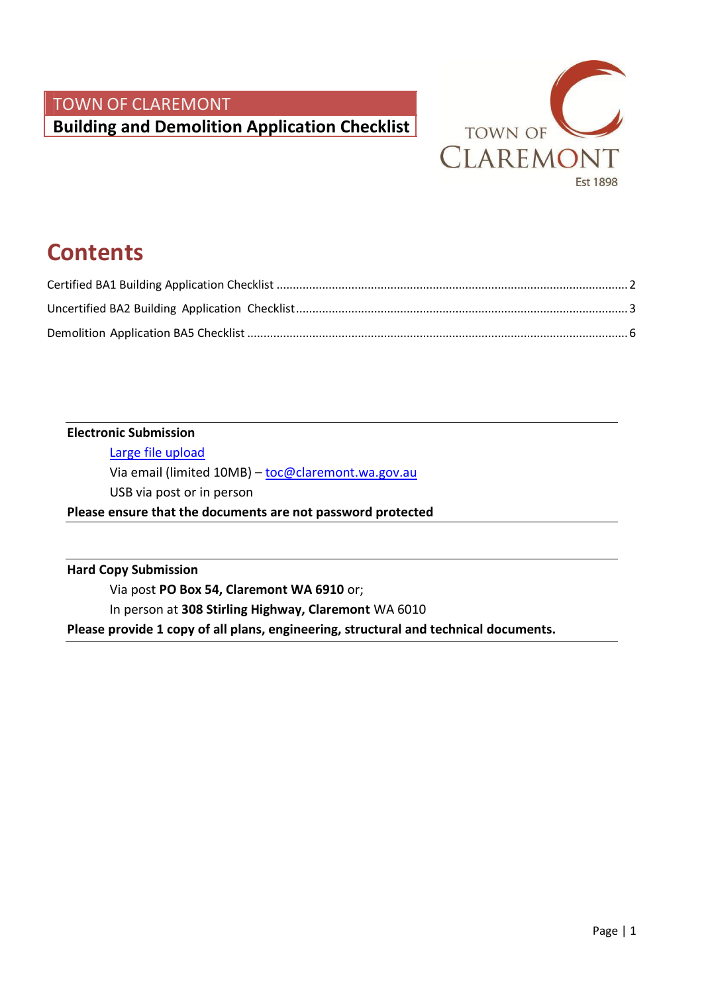

# **Contents**

#### **Electronic Submission**

[Large file upload](https://spaces.hightail.com/uplink/buildingservices)

Via email (limited 10MB) - [toc@claremont.wa.gov.au](mailto:toc@claremont.wa.gov.au)

USB via post or in person

**Please ensure that the documents are not password protected**

**Hard Copy Submission**

Via post **PO Box 54, Claremont WA 6910** or;

In person at **308 Stirling Highway, Claremont** WA 6010

**Please provide 1 copy of all plans, engineering, structural and technical documents.**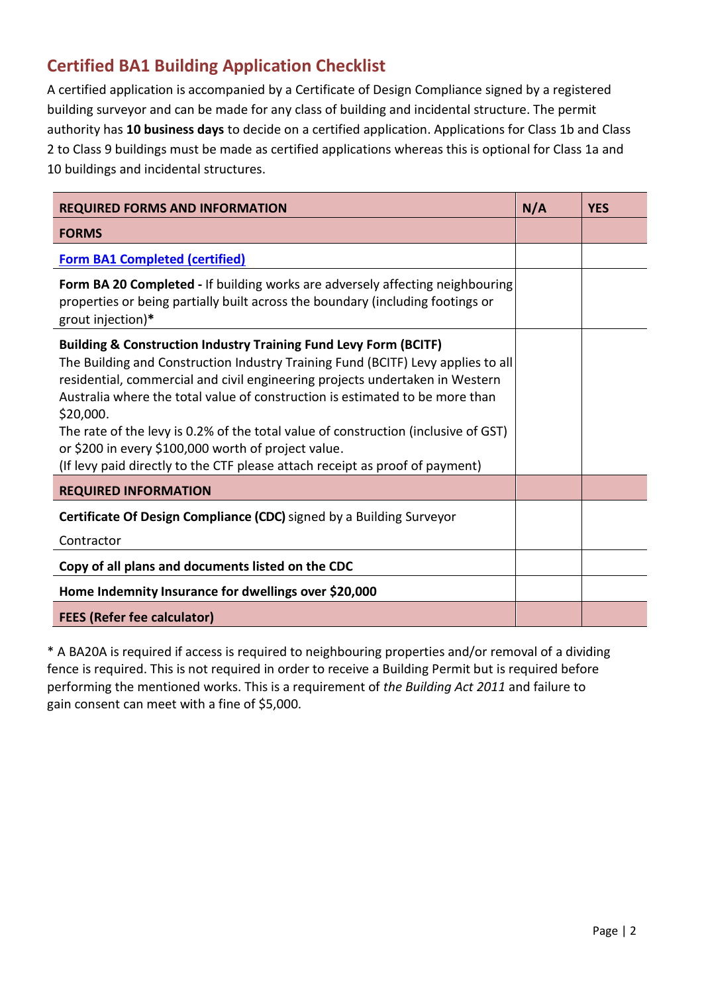## <span id="page-1-0"></span>**Certified BA1 Building Application Checklist**

A certified application is accompanied by a Certificate of Design Compliance signed by a registered building surveyor and can be made for any class of building and incidental structure. The permit authority has **10 business days** to decide on a certified application. Applications for Class 1b and Class 2 to Class 9 buildings must be made as certified applications whereas this is optional for Class 1a and 10 buildings and incidental structures.

| <b>REQUIRED FORMS AND INFORMATION</b>                                                                                                                                                                                                                                                                                                                                                                                                                                                                                                                                     | N/A | <b>YES</b> |
|---------------------------------------------------------------------------------------------------------------------------------------------------------------------------------------------------------------------------------------------------------------------------------------------------------------------------------------------------------------------------------------------------------------------------------------------------------------------------------------------------------------------------------------------------------------------------|-----|------------|
| <b>FORMS</b>                                                                                                                                                                                                                                                                                                                                                                                                                                                                                                                                                              |     |            |
| <b>Form BA1 Completed (certified)</b>                                                                                                                                                                                                                                                                                                                                                                                                                                                                                                                                     |     |            |
| Form BA 20 Completed - If building works are adversely affecting neighbouring<br>properties or being partially built across the boundary (including footings or<br>grout injection)*                                                                                                                                                                                                                                                                                                                                                                                      |     |            |
| <b>Building &amp; Construction Industry Training Fund Levy Form (BCITF)</b><br>The Building and Construction Industry Training Fund (BCITF) Levy applies to all<br>residential, commercial and civil engineering projects undertaken in Western<br>Australia where the total value of construction is estimated to be more than<br>\$20,000.<br>The rate of the levy is 0.2% of the total value of construction (inclusive of GST)<br>or \$200 in every \$100,000 worth of project value.<br>(If levy paid directly to the CTF please attach receipt as proof of payment) |     |            |
| <b>REQUIRED INFORMATION</b>                                                                                                                                                                                                                                                                                                                                                                                                                                                                                                                                               |     |            |
| Certificate Of Design Compliance (CDC) signed by a Building Surveyor<br>Contractor                                                                                                                                                                                                                                                                                                                                                                                                                                                                                        |     |            |
| Copy of all plans and documents listed on the CDC                                                                                                                                                                                                                                                                                                                                                                                                                                                                                                                         |     |            |
| Home Indemnity Insurance for dwellings over \$20,000                                                                                                                                                                                                                                                                                                                                                                                                                                                                                                                      |     |            |
| <b>FEES (Refer fee calculator)</b>                                                                                                                                                                                                                                                                                                                                                                                                                                                                                                                                        |     |            |

\* A BA20A is required if access is required to neighbouring properties and/or removal of a dividing fence is required. This is not required in order to receive a Building Permit but is required before performing the mentioned works. This is a requirement of *the Building Act 2011* and failure to gain consent can meet with a fine of \$5,000.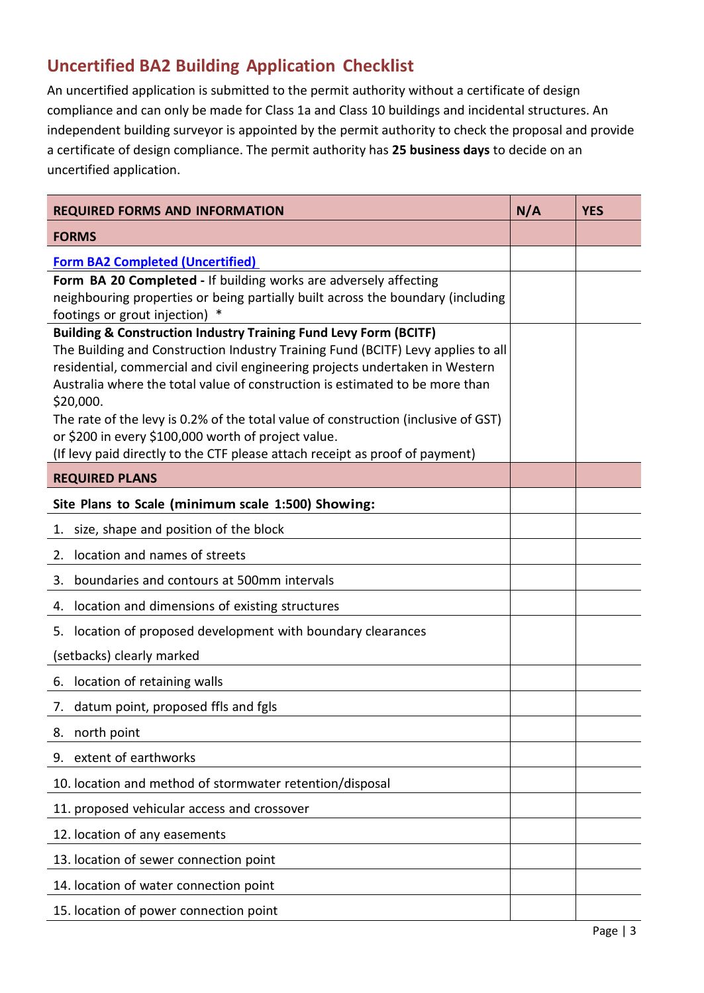## <span id="page-2-0"></span>**Uncertified BA2 Building Application Checklist**

An uncertified application is submitted to the permit authority without a certificate of design compliance and can only be made for Class 1a and Class 10 buildings and incidental structures. An independent building surveyor is appointed by the permit authority to check the proposal and provide a certificate of design compliance. The permit authority has **25 business days** to decide on an uncertified application.

| <b>REQUIRED FORMS AND INFORMATION</b>                                                                                                                        | N/A | <b>YES</b> |
|--------------------------------------------------------------------------------------------------------------------------------------------------------------|-----|------------|
| <b>FORMS</b>                                                                                                                                                 |     |            |
| <b>Form BA2 Completed (Uncertified)</b>                                                                                                                      |     |            |
| Form BA 20 Completed - If building works are adversely affecting                                                                                             |     |            |
| neighbouring properties or being partially built across the boundary (including<br>footings or grout injection)                                              |     |            |
| <b>Building &amp; Construction Industry Training Fund Levy Form (BCITF)</b>                                                                                  |     |            |
| The Building and Construction Industry Training Fund (BCITF) Levy applies to all                                                                             |     |            |
| residential, commercial and civil engineering projects undertaken in Western<br>Australia where the total value of construction is estimated to be more than |     |            |
| \$20,000.                                                                                                                                                    |     |            |
| The rate of the levy is 0.2% of the total value of construction (inclusive of GST)                                                                           |     |            |
| or \$200 in every \$100,000 worth of project value.                                                                                                          |     |            |
| (If levy paid directly to the CTF please attach receipt as proof of payment)                                                                                 |     |            |
| <b>REQUIRED PLANS</b>                                                                                                                                        |     |            |
| Site Plans to Scale (minimum scale 1:500) Showing:                                                                                                           |     |            |
| size, shape and position of the block<br>1.                                                                                                                  |     |            |
| location and names of streets<br>2.                                                                                                                          |     |            |
| boundaries and contours at 500mm intervals<br>3.                                                                                                             |     |            |
| location and dimensions of existing structures<br>4.                                                                                                         |     |            |
| location of proposed development with boundary clearances<br>5.                                                                                              |     |            |
| (setbacks) clearly marked                                                                                                                                    |     |            |
| location of retaining walls<br>6.                                                                                                                            |     |            |
| datum point, proposed ffls and fgls<br>7.                                                                                                                    |     |            |
| north point<br>8.                                                                                                                                            |     |            |
| extent of earthworks<br>9.                                                                                                                                   |     |            |
| 10. location and method of stormwater retention/disposal                                                                                                     |     |            |
| 11. proposed vehicular access and crossover                                                                                                                  |     |            |
| 12. location of any easements                                                                                                                                |     |            |
| 13. location of sewer connection point                                                                                                                       |     |            |
| 14. location of water connection point                                                                                                                       |     |            |
| 15. location of power connection point                                                                                                                       |     |            |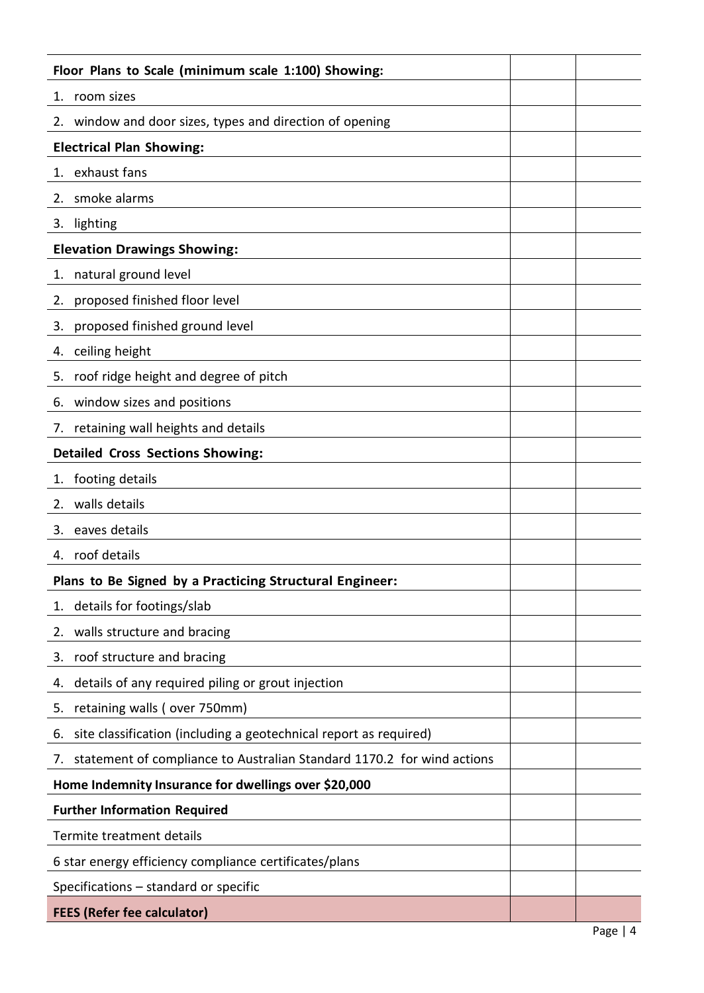| Floor Plans to Scale (minimum scale 1:100) Showing:                          |  |           |
|------------------------------------------------------------------------------|--|-----------|
| room sizes<br>1.                                                             |  |           |
| window and door sizes, types and direction of opening<br>2.                  |  |           |
| <b>Electrical Plan Showing:</b>                                              |  |           |
| exhaust fans<br>1.                                                           |  |           |
| smoke alarms<br>2.                                                           |  |           |
| lighting<br>3.                                                               |  |           |
| <b>Elevation Drawings Showing:</b>                                           |  |           |
| natural ground level<br>1.                                                   |  |           |
| proposed finished floor level<br>2.                                          |  |           |
| proposed finished ground level<br>3.                                         |  |           |
| ceiling height<br>4.                                                         |  |           |
| roof ridge height and degree of pitch<br>5.                                  |  |           |
| window sizes and positions<br>6.                                             |  |           |
| retaining wall heights and details<br>7.                                     |  |           |
| <b>Detailed Cross Sections Showing:</b>                                      |  |           |
| 1. footing details                                                           |  |           |
| walls details<br>2.                                                          |  |           |
| eaves details<br>3.                                                          |  |           |
| 4. roof details                                                              |  |           |
| Plans to Be Signed by a Practicing Structural Engineer:                      |  |           |
| details for footings/slab<br>1.                                              |  |           |
| walls structure and bracing<br>2.                                            |  |           |
| roof structure and bracing<br>3.                                             |  |           |
| details of any required piling or grout injection<br>4.                      |  |           |
| retaining walls (over 750mm)<br>5.                                           |  |           |
| site classification (including a geotechnical report as required)<br>6.      |  |           |
| statement of compliance to Australian Standard 1170.2 for wind actions<br>7. |  |           |
| Home Indemnity Insurance for dwellings over \$20,000                         |  |           |
| <b>Further Information Required</b>                                          |  |           |
| Termite treatment details                                                    |  |           |
| 6 star energy efficiency compliance certificates/plans                       |  |           |
| Specifications - standard or specific                                        |  |           |
| <b>FEES (Refer fee calculator)</b>                                           |  |           |
|                                                                              |  | Page $ 4$ |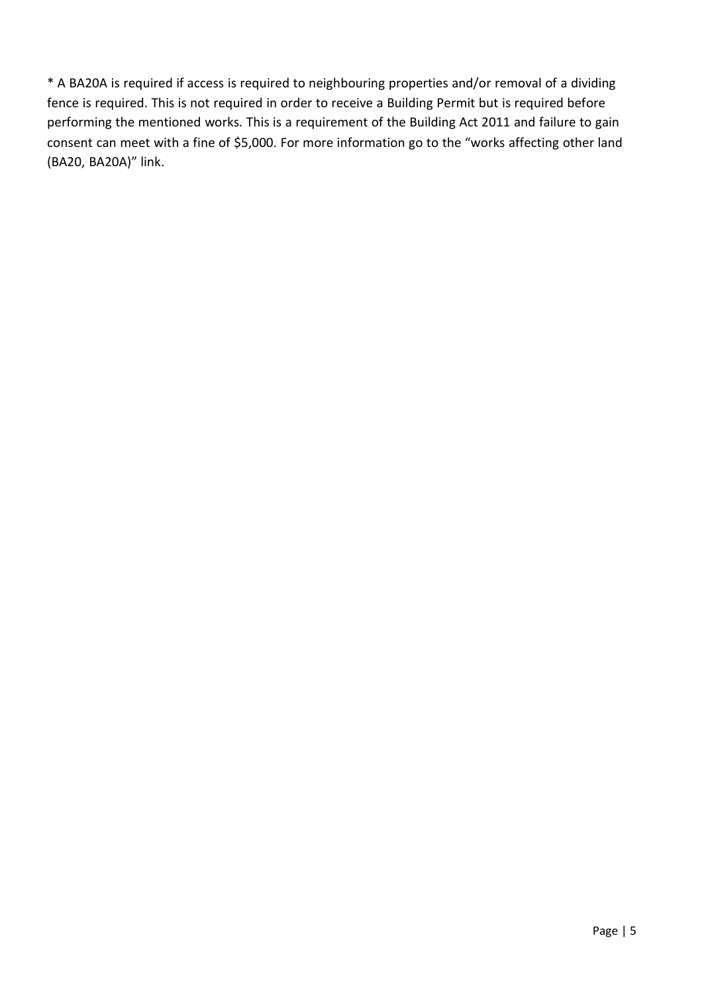\* A BA20A is required if access is required to neighbouring properties and/or removal of a dividing fence is required. This is not required in order to receive a Building Permit but is required before performing the mentioned works. This is a requirement of the Building Act 2011 and failure to gain consent can meet with a fine of \$5,000. For more information go to the "works affecting other land (BA20, BA20A)" link.